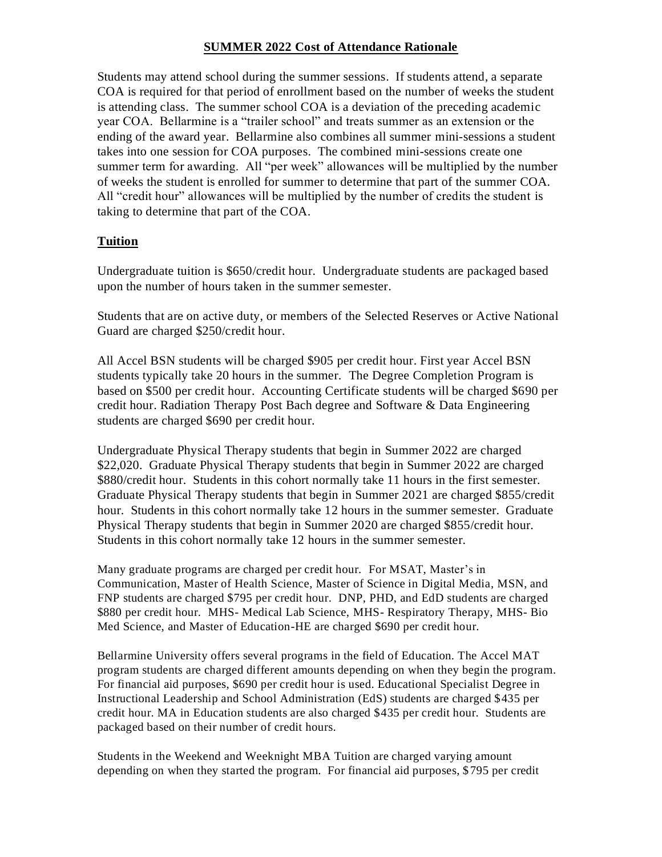#### **SUMMER 2022 Cost of Attendance Rationale**

Students may attend school during the summer sessions. If students attend, a separate COA is required for that period of enrollment based on the number of weeks the student is attending class. The summer school COA is a deviation of the preceding academic year COA. Bellarmine is a "trailer school" and treats summer as an extension or the ending of the award year. Bellarmine also combines all summer mini-sessions a student takes into one session for COA purposes. The combined mini-sessions create one summer term for awarding. All "per week" allowances will be multiplied by the number of weeks the student is enrolled for summer to determine that part of the summer COA. All "credit hour" allowances will be multiplied by the number of credits the student is taking to determine that part of the COA.

# **Tuition**

Undergraduate tuition is \$650/credit hour. Undergraduate students are packaged based upon the number of hours taken in the summer semester.

Students that are on active duty, or members of the Selected Reserves or Active National Guard are charged \$250/credit hour.

All Accel BSN students will be charged \$905 per credit hour. First year Accel BSN students typically take 20 hours in the summer. The Degree Completion Program is based on \$500 per credit hour. Accounting Certificate students will be charged \$690 per credit hour. Radiation Therapy Post Bach degree and Software & Data Engineering students are charged \$690 per credit hour.

Undergraduate Physical Therapy students that begin in Summer 2022 are charged \$22,020. Graduate Physical Therapy students that begin in Summer 2022 are charged \$880/credit hour. Students in this cohort normally take 11 hours in the first semester. Graduate Physical Therapy students that begin in Summer 2021 are charged \$855/credit hour. Students in this cohort normally take 12 hours in the summer semester. Graduate Physical Therapy students that begin in Summer 2020 are charged \$855/credit hour. Students in this cohort normally take 12 hours in the summer semester.

Many graduate programs are charged per credit hour. For MSAT, Master's in Communication, Master of Health Science, Master of Science in Digital Media, MSN, and FNP students are charged \$795 per credit hour. DNP, PHD, and EdD students are charged \$880 per credit hour. MHS- Medical Lab Science, MHS- Respiratory Therapy, MHS- Bio Med Science, and Master of Education-HE are charged \$690 per credit hour.

Bellarmine University offers several programs in the field of Education. The Accel MAT program students are charged different amounts depending on when they begin the program. For financial aid purposes, \$690 per credit hour is used. Educational Specialist Degree in Instructional Leadership and School Administration (EdS) students are charged \$435 per credit hour. MA in Education students are also charged \$435 per credit hour. Students are packaged based on their number of credit hours.

Students in the Weekend and Weeknight MBA Tuition are charged varying amount depending on when they started the program. For financial aid purposes, \$ 795 per credit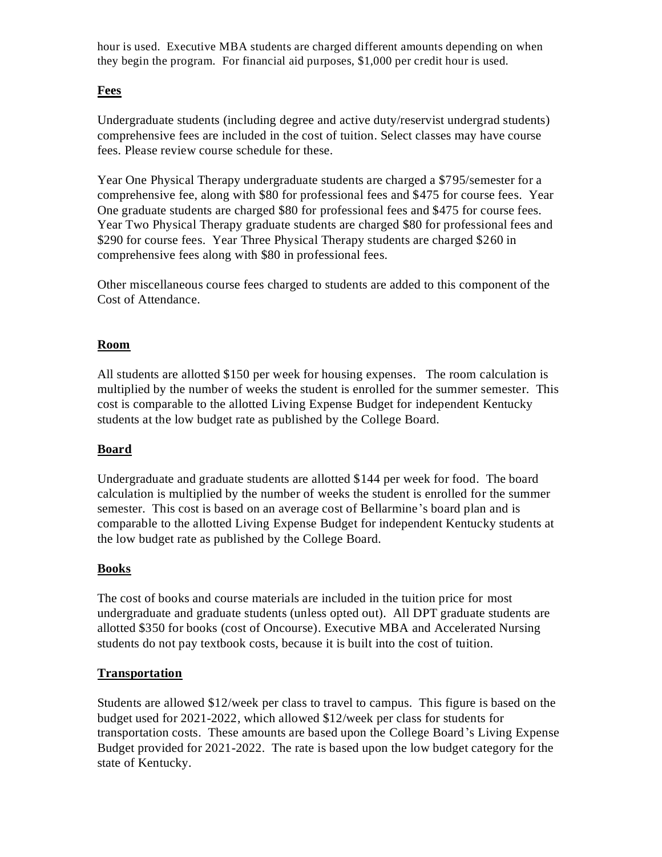hour is used. Executive MBA students are charged different amounts depending on when they begin the program. For financial aid purposes, \$1,000 per credit hour is used.

# **Fees**

Undergraduate students (including degree and active duty/reservist undergrad students) comprehensive fees are included in the cost of tuition. Select classes may have course fees. Please review course schedule for these.

Year One Physical Therapy undergraduate students are charged a \$795/semester for a comprehensive fee, along with \$80 for professional fees and \$475 for course fees. Year One graduate students are charged \$80 for professional fees and \$475 for course fees. Year Two Physical Therapy graduate students are charged \$80 for professional fees and \$290 for course fees. Year Three Physical Therapy students are charged \$260 in comprehensive fees along with \$80 in professional fees.

Other miscellaneous course fees charged to students are added to this component of the Cost of Attendance.

# **Room**

All students are allotted \$150 per week for housing expenses. The room calculation is multiplied by the number of weeks the student is enrolled for the summer semester. This cost is comparable to the allotted Living Expense Budget for independent Kentucky students at the low budget rate as published by the College Board.

# **Board**

Undergraduate and graduate students are allotted \$144 per week for food. The board calculation is multiplied by the number of weeks the student is enrolled for the summer semester. This cost is based on an average cost of Bellarmine's board plan and is comparable to the allotted Living Expense Budget for independent Kentucky students at the low budget rate as published by the College Board.

# **Books**

The cost of books and course materials are included in the tuition price for most undergraduate and graduate students (unless opted out). All DPT graduate students are allotted \$350 for books (cost of Oncourse). Executive MBA and Accelerated Nursing students do not pay textbook costs, because it is built into the cost of tuition.

# **Transportation**

Students are allowed \$12/week per class to travel to campus. This figure is based on the budget used for 2021-2022, which allowed \$12/week per class for students for transportation costs. These amounts are based upon the College Board's Living Expense Budget provided for 2021-2022. The rate is based upon the low budget category for the state of Kentucky.